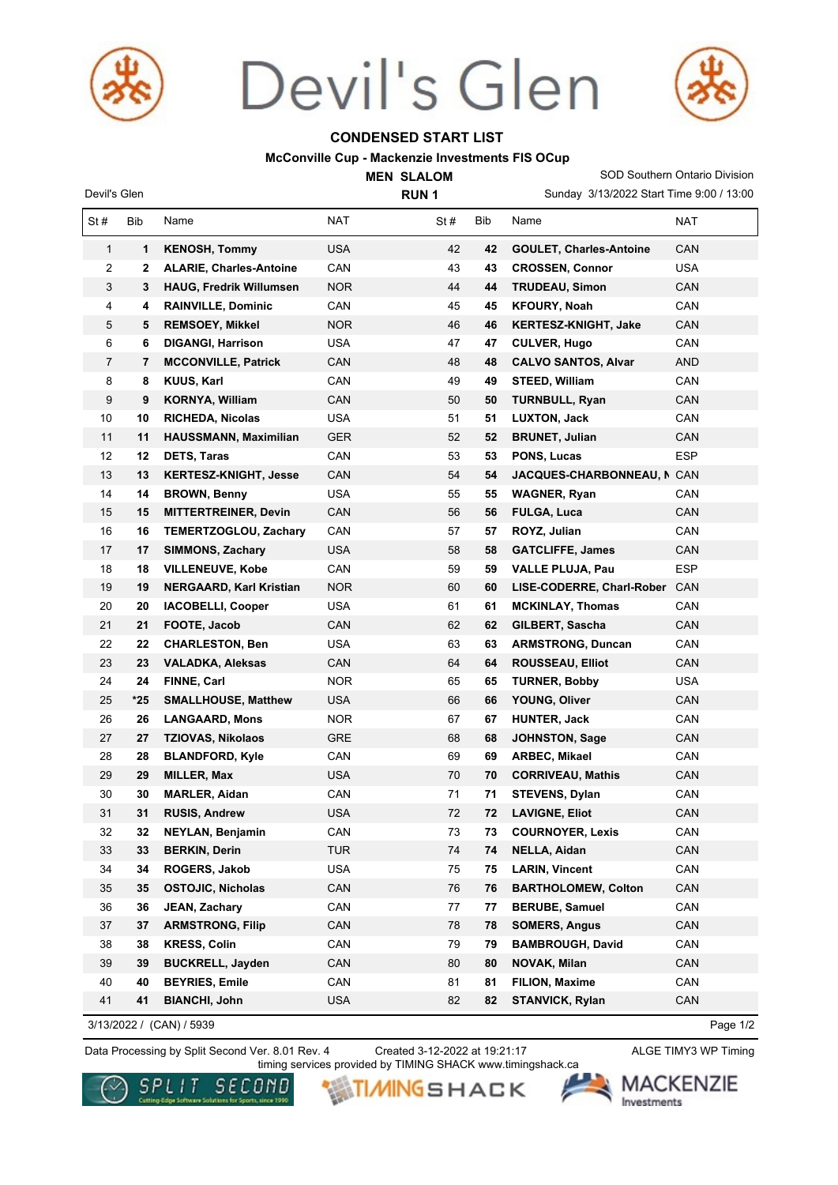

Devil's Glen **RUN 1** 

# Devil's Glen



# **CONDENSED START LIST**

### **McConville Cup - Mackenzie Investments FIS OCup**

**MEN SLALOM** 

Sunday 3/13/2022 Start Time 9:00 / 13:00 SOD Southern Ontario Division

| St#            | Bib   | Name                           | NAT        | St# | Bib | Name                           | NAT        |
|----------------|-------|--------------------------------|------------|-----|-----|--------------------------------|------------|
| $\mathbf{1}$   | 1     | <b>KENOSH, Tommy</b>           | <b>USA</b> | 42  | 42  | <b>GOULET, Charles-Antoine</b> | <b>CAN</b> |
| 2              | 2     | <b>ALARIE, Charles-Antoine</b> | CAN        | 43  | 43  | <b>CROSSEN, Connor</b>         | <b>USA</b> |
| 3              | 3     | <b>HAUG, Fredrik Willumsen</b> | <b>NOR</b> | 44  | 44  | <b>TRUDEAU, Simon</b>          | <b>CAN</b> |
| 4              | 4     | <b>RAINVILLE, Dominic</b>      | CAN        | 45  | 45  | <b>KFOURY, Noah</b>            | CAN        |
| 5              | 5     | <b>REMSOEY, Mikkel</b>         | <b>NOR</b> | 46  | 46  | <b>KERTESZ-KNIGHT, Jake</b>    | CAN        |
| 6              | 6     | <b>DIGANGI, Harrison</b>       | <b>USA</b> | 47  | 47  | <b>CULVER, Hugo</b>            | CAN        |
| $\overline{7}$ | 7     | <b>MCCONVILLE, Patrick</b>     | <b>CAN</b> | 48  | 48  | <b>CALVO SANTOS, Alvar</b>     | <b>AND</b> |
| 8              | 8     | KUUS, Karl                     | CAN        | 49  | 49  | <b>STEED, William</b>          | CAN        |
| 9              | 9     | <b>KORNYA, William</b>         | <b>CAN</b> | 50  | 50  | <b>TURNBULL, Ryan</b>          | CAN        |
| 10             | 10    | <b>RICHEDA, Nicolas</b>        | <b>USA</b> | 51  | 51  | <b>LUXTON, Jack</b>            | CAN        |
| 11             | 11    | HAUSSMANN, Maximilian          | <b>GER</b> | 52  | 52  | <b>BRUNET, Julian</b>          | <b>CAN</b> |
| 12             | 12    | <b>DETS, Taras</b>             | CAN        | 53  | 53  | PONS, Lucas                    | <b>ESP</b> |
| 13             | 13    | <b>KERTESZ-KNIGHT, Jesse</b>   | <b>CAN</b> | 54  | 54  | JACQUES-CHARBONNEAU, I CAN     |            |
| 14             | 14    | <b>BROWN, Benny</b>            | <b>USA</b> | 55  | 55  | <b>WAGNER, Ryan</b>            | CAN        |
| 15             | 15    | <b>MITTERTREINER, Devin</b>    | CAN        | 56  | 56  | <b>FULGA, Luca</b>             | <b>CAN</b> |
| 16             | 16    | <b>TEMERTZOGLOU, Zachary</b>   | CAN        | 57  | 57  | ROYZ, Julian                   | CAN        |
| 17             | 17    | <b>SIMMONS, Zachary</b>        | <b>USA</b> | 58  | 58  | <b>GATCLIFFE, James</b>        | CAN        |
| 18             | 18    | <b>VILLENEUVE, Kobe</b>        | CAN        | 59  | 59  | <b>VALLE PLUJA, Pau</b>        | <b>ESP</b> |
| 19             | 19    | <b>NERGAARD, Karl Kristian</b> | <b>NOR</b> | 60  | 60  | LISE-CODERRE, Charl-Rober      | CAN        |
| 20             | 20    | <b>IACOBELLI, Cooper</b>       | <b>USA</b> | 61  | 61  | <b>MCKINLAY, Thomas</b>        | CAN        |
| 21             | 21    | FOOTE, Jacob                   | <b>CAN</b> | 62  | 62  | GILBERT, Sascha                | <b>CAN</b> |
| 22             | 22    | <b>CHARLESTON, Ben</b>         | <b>USA</b> | 63  | 63  | <b>ARMSTRONG, Duncan</b>       | CAN        |
| 23             | 23    | <b>VALADKA, Aleksas</b>        | <b>CAN</b> | 64  | 64  | <b>ROUSSEAU, Elliot</b>        | <b>CAN</b> |
| 24             | 24    | FINNE, Carl                    | <b>NOR</b> | 65  | 65  | <b>TURNER, Bobby</b>           | <b>USA</b> |
| 25             | $*25$ | <b>SMALLHOUSE, Matthew</b>     | <b>USA</b> | 66  | 66  | YOUNG, Oliver                  | CAN        |
| 26             | 26    | <b>LANGAARD, Mons</b>          | <b>NOR</b> | 67  | 67  | <b>HUNTER, Jack</b>            | CAN        |
| 27             | 27    | <b>TZIOVAS, Nikolaos</b>       | <b>GRE</b> | 68  | 68  | JOHNSTON, Sage                 | CAN        |
| 28             | 28    | <b>BLANDFORD, Kyle</b>         | CAN        | 69  | 69  | ARBEC, Mikael                  | CAN        |
| 29             | 29    | <b>MILLER, Max</b>             | <b>USA</b> | 70  | 70  | <b>CORRIVEAU, Mathis</b>       | <b>CAN</b> |
| 30             | 30    | <b>MARLER, Aidan</b>           | CAN        | 71  | 71  | <b>STEVENS, Dylan</b>          | CAN        |
| 31             | 31    | <b>RUSIS, Andrew</b>           | USA        | 72  | 72  | <b>LAVIGNE, Eliot</b>          | <b>CAN</b> |
| 32             | 32    | NEYLAN, Benjamin               | CAN        | 73  | 73  | <b>COURNOYER, Lexis</b>        | CAN        |
| 33             | 33    | <b>BERKIN, Derin</b>           | <b>TUR</b> | 74  | 74  | NELLA, Aidan                   | CAN        |
| 34             | 34    | ROGERS, Jakob                  | <b>USA</b> | 75  | 75  | <b>LARIN, Vincent</b>          | CAN        |
| 35             | 35    | <b>OSTOJIC, Nicholas</b>       | CAN        | 76  | 76  | <b>BARTHOLOMEW, Colton</b>     | CAN        |
| 36             | 36    | JEAN, Zachary                  | CAN        | 77  | 77  | <b>BERUBE, Samuel</b>          | CAN        |
| 37             | 37    | <b>ARMSTRONG, Filip</b>        | CAN        | 78  | 78  | <b>SOMERS, Angus</b>           | CAN        |
| 38             | 38    | <b>KRESS, Colin</b>            | CAN        | 79  | 79  | <b>BAMBROUGH, David</b>        | CAN        |
| 39             | 39    | <b>BUCKRELL, Jayden</b>        | CAN        | 80  | 80  | <b>NOVAK, Milan</b>            | CAN        |
| 40             | 40    | <b>BEYRIES, Emile</b>          | CAN        | 81  | 81  | FILION, Maxime                 | CAN        |
| 41             | 41    | <b>BIANCHI, John</b>           | <b>USA</b> | 82  | 82  | <b>STANVICK, Rylan</b>         | CAN        |

3/13/2022 / (CAN) / 5939

Page 1/2

Data Processing by Split Second Ver. 8.01 Rev. 4 Created 3-12-2022 at 19:21:17 ALGE TIMY3 WP Timing

Created 3-12-2022 at 19:21:17 timing services provided by TIMING SHACK www.timingshack.ca

**WIMNGSHACK**